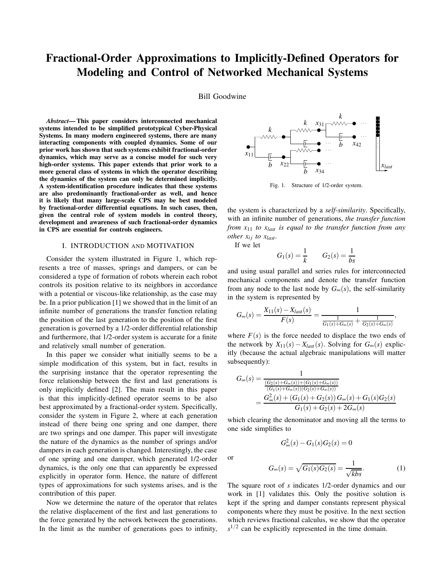# Fractional-Order Approximations to Implicitly-Defined Operators for Modeling and Control of Networked Mechanical Systems

Bill Goodwine

*Abstract*— This paper considers interconnected mechanical systems intended to be simplified prototypical Cyber-Physical Systems. In many modern engineered systems, there are many interacting components with coupled dynamics. Some of our prior work has shown that such systems exhibit fractional-order dynamics, which may serve as a concise model for such very high-order systems. This paper extends that prior work to a more general class of systems in which the operator describing the dynamics of the system can only be determined implicitly. A system-identification procedure indicates that these systems are also predominantly fractional-order as well, and hence it is likely that many large-scale CPS may be best modeled by fractional-order differential equations. In such cases, then, given the central role of system models in control theory, development and awareness of such fractional-order dynamics in CPS are essential for controls engineers.

#### I. INTRODUCTION AND MOTIVATION

Consider the system illustrated in Figure 1, which represents a tree of masses, springs and dampers, or can be considered a type of formation of robots wherein each robot controls its position relative to its neighbors in accordance with a potential or viscous-like relationship, as the case may be. In a prior publication [1] we showed that in the limit of an infinite number of generations the transfer function relating the position of the last generation to the position of the first generation is governed by a 1/2-order differential relationship and furthermore, that 1/2-order system is accurate for a finite and relatively small number of generation.

In this paper we consider what initially seems to be a simple modification of this system, but in fact, results in the surprising instance that the operator representing the force relationship between the first and last generations is only implicitly defined [2]. The main result in this paper is that this implicitly-defined operator seems to be also best approximated by a fractional-order system. Specifically, consider the system in Figure 2, where at each generation instead of there being one spring and one damper, there are two springs and one damper. This paper will investigate the nature of the dynamics as the number of springs and/or dampers in each generation is changed. Interestingly, the case of one spring and one damper, which generated 1/2-order dynamics, is the only one that can apparently be expressed explicitly in operator form. Hence, the nature of different types of approximations for such systems arises, and is the contribution of this paper.

Now we determine the nature of the operator that relates the relative displacement of the first and last generations to the force generated by the network between the generations. In the limit as the number of generations goes to infinity,



Fig. 1. Structure of 1/2-order system.

the system is characterized by a *self-similarity*. Specifically, with an infinite number of generations, *the transfer function from x*<sup>11</sup> *to xlast is equal to the transfer function from any other*  $x_{ij}$  *to*  $x_{last}$ *.* 

If we let

$$
G_1(s) = \frac{1}{k}
$$
  $G_2(s) = \frac{1}{bs}$ 

and using usual parallel and series rules for interconnected mechanical components and denote the transfer function from any node to the last node by  $G_{\infty}(s)$ , the self-similarity in the system is represented by

$$
G_{\infty}(s) = \frac{X_{11}(s) - X_{last}(s)}{F(s)} = \frac{1}{\frac{1}{G_1(s) + G_{\infty}(s)} + \frac{1}{G_2(s) + G_{\infty}(s)}},
$$

where  $F(s)$  is the force needed to displace the two ends of the network by  $X_{11}(s) - X_{last}(s)$ . Solving for  $G_{\infty}(s)$  explicitly (because the actual algebraic manipulations will matter subsequently):

$$
G_{\infty}(s) = \frac{1}{\frac{(G_2(s) + G_{\infty}(s)) + (G_1(s) + G_{\infty}(s))}{(G_1(s) + G_{\infty}(s))(G_2(s) + G_{\infty}(s))}}
$$
  
= 
$$
\frac{G_{\infty}^2(s) + (G_1(s) + G_2(s)) G_{\infty}(s) + G_1(s) G_2(s)}{G_1(s) + G_2(s) + 2G_{\infty}(s)}
$$

which clearing the denominator and moving all the terms to one side simplifies to

 $G_{\infty}^{2}(s) - G_{1}(s)G_{2}(s) = 0$ 

or

$$
G_{\infty}(s) = \sqrt{G_1(s)G_2(s)} = \frac{1}{\sqrt{kbs}}.\tag{1}
$$

The square root of *s* indicates 1/2-order dynamics and our work in [1] validates this. Only the positive solution is kept if the spring and damper constants represent physical components where they must be positive. In the next section which reviews fractional calculus, we show that the operator  $s^{1/2}$  can be explicitly represented in the time domain.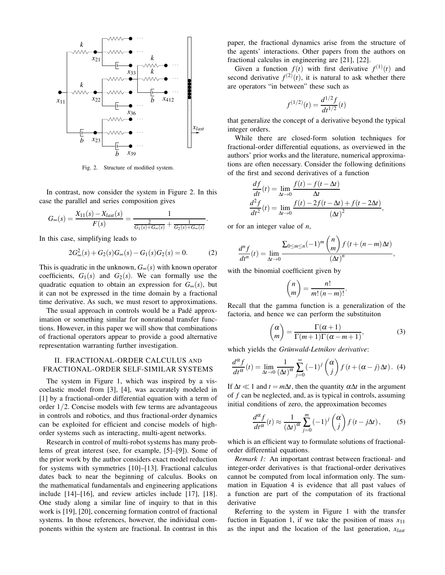

Fig. 2. Structure of modified system.

In contrast, now consider the system in Figure 2. In this case the parallel and series composition gives

$$
G_{\infty}(s) = \frac{X_{11}(s) - X_{last}(s)}{F(s)} = \frac{1}{\frac{2}{G_1(s) + G_{\infty}(s)} + \frac{1}{G_2(s) + G_{\infty}(s)}}.
$$

In this case, simplifying leads to

$$
2G_{\infty}^{2}(s) + G_{2}(s)G_{\infty}(s) - G_{1}(s)G_{2}(s) = 0.
$$
 (2)

This is quadratic in the unknown,  $G_{\infty}(s)$  with known operator coefficients,  $G_1(s)$  and  $G_2(s)$ . We can formally use the quadratic equation to obtain an expression for  $G_{\infty}(s)$ , but it can not be expressed in the time domain by a fractional time derivative. As such, we must resort to approximations.

The usual approach in controls would be a Padé approximation or something similar for nonrational transfer functions. However, in this paper we will show that combinations of fractional operators appear to provide a good alternative representation warranting further investigation.

# II. FRACTIONAL-ORDER CALCULUS AND FRACTIONAL-ORDER SELF-SIMILAR SYSTEMS

The system in Figure 1, which was inspired by a viscoelastic model from [3], [4], was accurately modeled in [1] by a fractional-order differential equation with a term of order 1/2. Concise models with few terms are advantageous in controls and robotics, and thus fractional-order dynamics can be exploited for efficient and concise models of highorder systems such as interacting, multi-agent networks.

Research in control of multi-robot systems has many problems of great interest (see, for example, [5]–[9]). Some of the prior work by the author considers exact model reduction for systems with symmetries [10]–[13]. Fractional calculus dates back to near the beginning of calculus. Books on the mathematical fundamentals and engineering applications include [14]–[16], and review articles include [17], [18]. One study along a similar line of inquiry to that in this work is [19], [20], concerning formation control of fractional systems. In those references, however, the individual components within the system are fractional. In contrast in this

paper, the fractional dynamics arise from the structure of the agents' interactions. Other papers from the authors on fractional calculus in engineering are [21], [22].

Given a function  $f(t)$  with first derivative  $f^{(1)}(t)$  and second derivative  $f^{(2)}(t)$ , it is natural to ask whether there are operators "in between" these such as

$$
f^{(1/2)}(t) = \frac{d^{1/2}f}{dt^{1/2}}(t)
$$

that generalize the concept of a derivative beyond the typical integer orders.

While there are closed-form solution techniques for fractional-order differential equations, as overviewed in the authors' prior works and the literature, numerical approximations are often necessary. Consider the following definitions of the first and second derivatives of a function

$$
\frac{df}{dt}(t) = \lim_{\Delta t \to 0} \frac{f(t) - f(t - \Delta t)}{\Delta t}
$$

$$
\frac{d^2 f}{dt^2}(t) = \lim_{\Delta t \to 0} \frac{f(t) - 2f(t - \Delta t) + f(t - 2\Delta t)}{(\Delta t)^2}
$$

,

or for an integer value of *n*,

$$
\frac{d^n f}{dt^n}(t) = \lim_{\Delta t \to 0} \frac{\sum_{0 \le m \le n} (-1)^m \binom{n}{m} f(t + (n-m)\Delta t)}{(\Delta t)^n},
$$

with the binomial coefficient given by

$$
\binom{n}{m} = \frac{n!}{m!(n-m)!}.
$$

Recall that the gamma function is a generalization of the factoria, and hence we can perform the substituiton

$$
\binom{\alpha}{m} = \frac{\Gamma(\alpha+1)}{\Gamma(m+1)\Gamma(\alpha-m+1)},\tag{3}
$$

which yields the *Grünwald-Letnikov derivative*:

$$
\frac{d^{\alpha}f}{dt^{\alpha}}(t) = \lim_{\Delta t \to 0} \frac{1}{(\Delta t)^{\alpha}} \sum_{j=0}^{\infty} (-1)^{j} {\alpha \choose j} f(t + (\alpha - j)\Delta t).
$$
 (4)

If  $\Delta t \ll 1$  and  $t = m\Delta t$ , then the quantity  $\alpha \Delta t$  in the argument of *f* can be neglected, and, as is typical in controls, assuming initial conditions of zero, the approximation becomes

$$
\frac{d^{\alpha}f}{dt^{\alpha}}(t) \approx \frac{1}{(\Delta t)^{\alpha}} \sum_{j=0}^{m} (-1)^{j} {\alpha \choose j} f(t - j\Delta t),
$$
 (5)

which is an efficient way to formulate solutions of fractionalorder differential equations.

*Remark 1:* An important contrast between fractional- and integer-order derivatives is that fractional-order derivatives cannot be computed from local information only. The summation in Equation 4 is evidence that all past values of a function are part of the computation of its fractional derivative

Referring to the system in Figure 1 with the transfer fuction in Equation 1, if we take the position of mass  $x_{11}$ as the input and the location of the last generation, *xlast*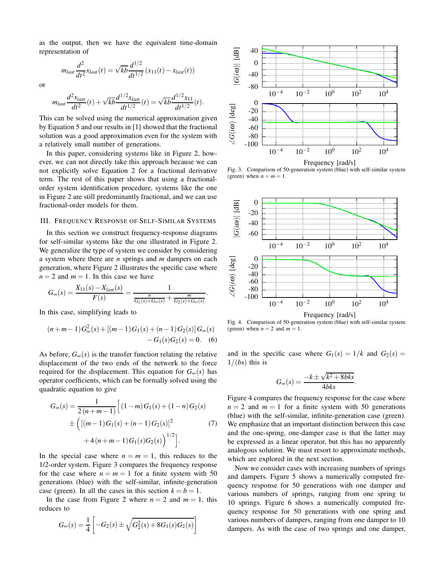as the output, then we have the equivalent time-domain representation of

$$
m_{last}\frac{d^2}{dt^2}x_{last}(t) = \sqrt{kb}\frac{d^{1/2}}{dt^{1/2}}(x_{11}(t) - x_{last}(t))
$$

or

$$
m_{last} \frac{d^2 x_{last}}{dt^2}(t) + \sqrt{kb} \frac{d^{1/2} x_{last}}{dt^{1/2}}(t) = \sqrt{kb} \frac{d^{1/2} x_{11}}{dt^{1/2}}(t).
$$

This can be solved using the numerical approximation given by Equation 5 and our results in [1] showed that the fractional solution was a good approximation even for the system with a relatively small number of generations.

In this paper, considering systems like in Figure 2, however, we can not directly take this approach because we can not explicitly solve Equation 2 for a fractional derivative term. The rest of this paper shows that using a fractionalorder system identification procedure, systems like the one in Figure 2 are still predominantly fractional, and we can use fractional-order models for them.

#### III. FREQUENCY RESPONSE OF SELF-SIMILAR SYSTEMS

In this section we construct frequency-response diagrams for self-similar systems like the one illustrated in Figure 2. We generalize the type of system we consider by considering a system where there are *n* springs and *m* dampers on each generation, where Figure 2 illustrates the specific case where  $n = 2$  and  $m = 1$ . In this case we have

$$
G_{\infty}(s) = \frac{X_{11}(s) - X_{last}(s)}{F(s)} = \frac{1}{\frac{n}{G_1(s) + G_{\infty}(s)} + \frac{m}{G_2(s) + G_{\infty}(s)}}.
$$

In this case, simplifying leads to

$$
(n+m-1)G_{\infty}^{2}(s) + [(m-1)G_{1}(s) + (n-1)G_{2}(s)]G_{\infty}(s)
$$
  
- G<sub>1</sub>(s)G<sub>2</sub>(s) = 0. (6)

As before,  $G_{\infty}(s)$  is the transfer function relating the relative displacement of the two ends of the network to the force required for the displacement. This equation for  $G_{\infty}(s)$  has operator coefficients, which can be formally solved using the quadratic equation to give

$$
G_{\infty}(s) = \frac{1}{2(n+m-1)} \Big[ (1-m) G_1(s) + (1-n) G_2(s)
$$
  
 
$$
\pm \Big( [(m-1) G_1(s) + (n-1) G_2(s)]^2 + 4(n+m-1) G_1(s) G_2(s) \Big)^{1/2} \Big].
$$
 (7)

In the special case where  $n = m = 1$ , this reduces to the 1/2-order system. Figure 3 compares the frequency response for the case where  $n = m = 1$  for a finite system with 50 generations (blue) with the self-similar, infinite-generation case (green). In all the cases in this section  $k = b = 1$ .

In the case from Figure 2 where  $n = 2$  and  $m = 1$ , this reduces to

$$
G_{\infty}(s) = \frac{1}{4} \left[ -G_2(s) \pm \sqrt{G_2^2(s) + 8G_1(s)G_2(s)} \right]
$$



Fig. 3. Comparison of 50-generation system (blue) with self-similar system (green) when  $n = m = 1$ .



Fig. 4. Comparison of 50-generation system (blue) with self-similar system (green) when  $n = 2$  and  $m = 1$ .

and in the specific case where  $G_1(s) = 1/k$  and  $G_2(s) =$  $1/(bs)$  this is

$$
G_{\infty}(s) = \frac{-k \pm \sqrt{k^2 + 8bks}}{4bks}
$$

.

Figure 4 compares the frequency response for the case where  $n = 2$  and  $m = 1$  for a finite system with 50 generations (blue) with the self-similar, infinite-generation case (green). We emphasize that an important distinction between this case and the one-spring, one-damper case is that the latter may be expressed as a linear operator, but this has no apparently analogous solution. We must resort to approximate methods, which are explored in the next section.

Now we consider cases with increasing numbers of springs and dampers. Figure 5 shows a numerically computed frequency response for 50 generations with one damper and various numbers of springs, ranging from one spring to 10 springs. Figure 6 shows a numerically computed frequency response for 50 generations with one spring and various numbers of dampers, ranging from one damper to 10 dampers. As with the case of two springs and one damper,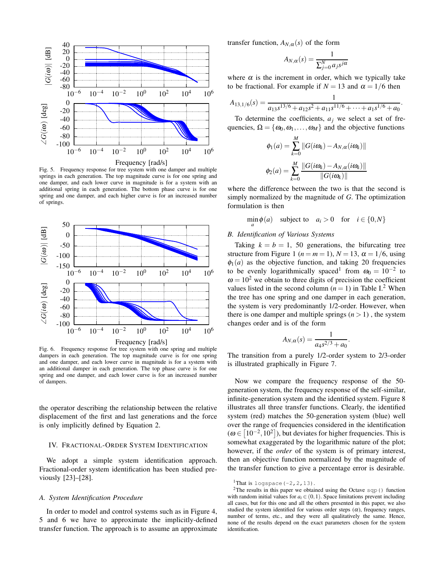

Fig. 5. Frequency response for tree system with one damper and multiple springs in each generation. The top magnitude curve is for one spring and one damper, and each lower curve in magnitude is for a system with an additional spring in each generation. The bottom phase curve is for one spring and one damper, and each higher curve is for an increased number of springs.



Fig. 6. Frequency response for tree system with one spring and multiple dampers in each generation. The top magnitude curve is for one spring and one damper, and each lower curve in magnitude is for a system with an additional damper in each generation. The top phase curve is for one spring and one damper, and each lower curve is for an increased number of dampers.

the operator describing the relationship between the relative displacement of the first and last generations and the force is only implicitly defined by Equation 2.

## IV. FRACTIONAL-ORDER SYSTEM IDENTIFICATION

We adopt a simple system identification approach. Fractional-order system identification has been studied previously [23]–[28].

## *A. System Identification Procedure*

In order to model and control systems such as in Figure 4, 5 and 6 we have to approximate the implicitly-defined transfer function. The approach is to assume an approximate transfer function,  $A_{N,\alpha}(s)$  of the form

$$
A_{N,\alpha}(s) = \frac{1}{\sum_{j=0}^{N} a_j s^{j\alpha}}
$$

where  $\alpha$  is the increment in order, which we typically take to be fractional. For example if  $N = 13$  and  $\alpha = 1/6$  then

$$
A_{13,1/6}(s) = \frac{1}{a_{13}s^{13/6} + a_{12}s^2 + a_{11}s^{11/6} + \dots + a_1s^{1/6} + a_0}.
$$

To determine the coefficients,  $a_j$  we select a set of frequencies,  $\Omega = {\omega_0, \omega_1, ..., \omega_M}$  and the objective functions

$$
\phi_1(a) = \sum_{k=0}^{M} ||G(i\omega_k) - A_{N,\alpha}(i\omega_k)||
$$

$$
\phi_2(a) = \sum_{k=0}^{M} \frac{||G(i\omega_k) - A_{N,\alpha}(i\omega_k)||}{||G(i\omega_k)||}
$$

where the difference between the two is that the second is simply normalized by the magnitude of *G*. The optimization formulation is then

$$
\min_{a} \phi(a) \quad \text{subject to} \quad a_i > 0 \quad \text{for} \quad i \in \{0, N\}
$$

## *B. Identification of Various Systems*

Taking  $k = b = 1$ , 50 generations, the bifurcating tree structure from Figure 1 ( $n = m = 1$ ),  $N = 13$ ,  $\alpha = 1/6$ , using  $\phi_1(a)$  as the objective function, and taking 20 frequencies to be evenly logarithmically spaced<sup>1</sup> from  $\omega_0 = 10^{-2}$  to  $\omega = 10^2$  we obtain to three digits of precision the coefficient values listed in the second column  $(n = 1)$  in Table I.<sup>2</sup> When the tree has one spring and one damper in each generation, the system is very predominantly 1/2-order. However, when there is one damper and multiple springs  $(n > 1)$ , the system changes order and is of the form

$$
A_{N,\alpha}(s) = \frac{1}{a_4 s^{2/3} + a_0}.
$$

The transition from a purely 1/2-order system to 2/3-order is illustrated graphically in Figure 7.

Now we compare the frequency response of the 50 generation system, the frequency response of the self-similar, infinite-generation system and the identified system. Figure 8 illustrates all three transfer functions. Clearly, the identified system (red) matches the 50-generation system (blue) well over the range of frequencies considered in the identification  $(\omega \in [10^{-2}, 10^2])$ , but deviates for higher frequencies. This is somewhat exaggerated by the logarithmic nature of the plot; however, if the *order* of the system is of primary interest, then an objective function normalized by the magnitude of the transfer function to give a percentage error is desirable.

<sup>&</sup>lt;sup>1</sup>That is logspace  $(-2, 2, 13)$ .

<sup>&</sup>lt;sup>2</sup>The results in this paper we obtained using the Octave  $sqp($  ) function with random initial values for  $a_i \in (0,1)$ . Space limitations prevent including all cases, but for this one and all the others presented in this paper, we also studied the system identified for various order steps  $(\alpha)$ , frequency ranges, number of terms, etc., and they were all qualitatively the same. Hence, none of the results depend on the exact parameters chosen for the system identification.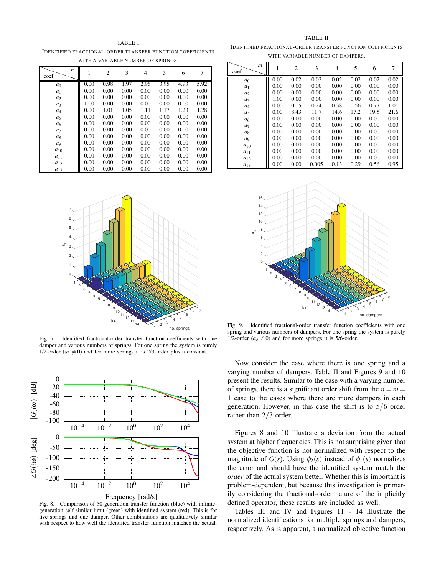TABLE I

IDENTIFIED FRACTIONAL-ORDER TRANSFER FUNCTION COEFFICIENTS WITH A VARIABLE NUMBER OF SPRINGS.

| n              |      | 2    | 3    | $\overline{4}$ | 5    | 6    | 7    |
|----------------|------|------|------|----------------|------|------|------|
| coef           |      |      |      |                |      |      |      |
| a <sub>0</sub> | 0.00 | 0.98 | 1.97 | 2.96           | 3.95 | 4.93 | 5.92 |
| a <sub>1</sub> | 0.00 | 0.00 | 0.00 | 0.00           | 0.00 | 0.00 | 0.00 |
| $a_2$          | 0.00 | 0.00 | 0.00 | 0.00           | 0.00 | 0.00 | 0.00 |
| $a_3$          | 1.00 | 0.00 | 0.00 | 0.00           | 0.00 | 0.00 | 0.00 |
| $a_4$          | 0.00 | 1.01 | 1.05 | 1.11           | 1.17 | 1.23 | 1.28 |
| $a_5$          | 0.00 | 0.00 | 0.00 | 0.00           | 0.00 | 0.00 | 0.00 |
| a <sub>6</sub> | 0.00 | 0.00 | 0.00 | 0.00           | 0.00 | 0.00 | 0.00 |
| a <sub>7</sub> | 0.00 | 0.00 | 0.00 | 0.00           | 0.00 | 0.00 | 0.00 |
| $a_8$          | 0.00 | 0.00 | 0.00 | 0.00           | 0.00 | 0.00 | 0.00 |
| a <sub>9</sub> | 0.00 | 0.00 | 0.00 | 0.00           | 0.00 | 0.00 | 0.00 |
| $a_{10}$       | 0.00 | 0.00 | 0.00 | 0.00           | 0.00 | 0.00 | 0.00 |
| $a_{11}$       | 0.00 | 0.00 | 0.00 | 0.00           | 0.00 | 0.00 | 0.00 |
| $a_{12}$       | 0.00 | 0.00 | 0.00 | 0.00           | 0.00 | 0.00 | 0.00 |
| $a_{13}$       | 0.00 | 0.00 | 0.00 | 0.00           | 0.00 | 0.00 | 0.00 |



Fig. 7. Identified fractional-order transfer function coefficients with one damper and various numbers of springs. For one spring the system is purely 1/2-order ( $a_3 \neq 0$ ) and for more springs it is 2/3-order plus a constant.

![](_page_4_Figure_5.jpeg)

Fig. 8. Comparison of 50-generation transfer function (blue) with infinitegeneration self-similar limit (green) with identified system (red). This is for five springs and one damper. Other combinations are qualitatively similar with respect to how well the identified transfer function matches the actual.

TABLE II IDENTIFIED FRACTIONAL-ORDER TRANSFER FUNCTION COEFFICIENTS WITH VARIABLE NUMBER OF DAMPERS.

| $\boldsymbol{m}$<br>coef | 1    | $\overline{c}$ | 3     | 4    | 5    | 6    | 7    |
|--------------------------|------|----------------|-------|------|------|------|------|
| a <sub>0</sub>           | 0.00 | 0.02           | 0.02  | 0.02 | 0.02 | 0.02 | 0.02 |
| $a_1$                    | 0.00 | 0.00           | 0.00  | 0.00 | 0.00 | 0.00 | 0.00 |
| a <sub>2</sub>           | 0.00 | 0.00           | 0.00  | 0.00 | 0.00 | 0.00 | 0.00 |
| $a_3$                    | 1.00 | 0.00           | 0.00  | 0.00 | 0.00 | 0.00 | 0.00 |
| $a_4$                    | 0.00 | 0.15           | 0.24  | 0.38 | 0.56 | 0.77 | 1.01 |
| $a_5$                    | 0.00 | 8.43           | 11.7  | 14.6 | 17.2 | 19.5 | 21.6 |
| a <sub>6</sub>           | 0.00 | 0.00           | 0.00  | 0.00 | 0.00 | 0.00 | 0.00 |
| a <sub>7</sub>           | 0.00 | 0.00           | 0.00  | 0.00 | 0.00 | 0.00 | 0.00 |
| $a_8$                    | 0.00 | 0.00           | 0.00  | 0.00 | 0.00 | 0.00 | 0.00 |
| a9                       | 0.00 | 0.00           | 0.00  | 0.00 | 0.00 | 0.00 | 0.00 |
| $a_{10}$                 | 0.00 | 0.00           | 0.00  | 0.00 | 0.00 | 0.00 | 0.00 |
| $a_{11}$                 | 0.00 | 0.00           | 0.00  | 0.00 | 0.00 | 0.00 | 0.00 |
| $a_{12}$                 | 0.00 | 0.00           | 0.00  | 0.00 | 0.00 | 0.00 | 0.00 |
| $a_{13}$                 | 0.00 | 0.00           | 0.005 | 0.13 | 0.29 | 0.56 | 0.95 |

![](_page_4_Figure_9.jpeg)

Fig. 9. Identified fractional-order transfer function coefficients with one spring and various numbers of dampers. For one spring the system is purely 1/2-order ( $a_3 \neq 0$ ) and for more springs it is 5/6-order.

Now consider the case where there is one spring and a varying number of dampers. Table II and Figures 9 and 10 present the results. Similar to the case with a varying number of springs, there is a significant order shift from the  $n = m =$ 1 case to the cases where there are more dampers in each generation. However, in this case the shift is to 5/6 order rather than 2/3 order.

Figures 8 and 10 illustrate a deviation from the actual system at higher frequencies. This is not surprising given that the objective function is not normalized with respect to the magnitude of  $G(s)$ . Using  $\phi_2(s)$  instead of  $\phi_1(s)$  normalizes the error and should have the identified system match the *order* of the actual system better. Whether this is important is problem-dependent, but because this investigation is primarily considering the fractional-order nature of the implicitly defined operator, these results are included as well.

Tables III and IV and Figures 11 - 14 illustrate the normalized identifications for multiple springs and dampers, respectively. As is apparent, a normalized objective function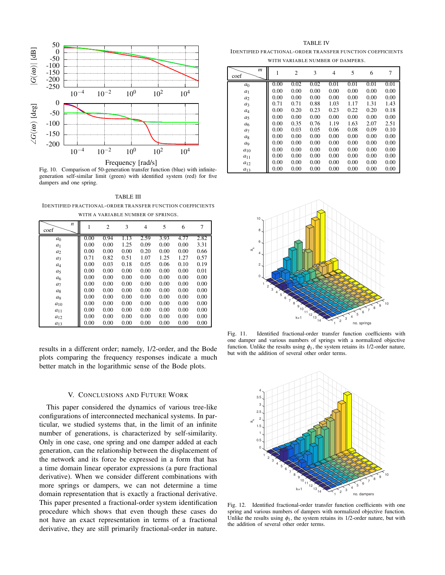![](_page_5_Figure_0.jpeg)

Frequency [rad/s]

Fig. 10. Comparison of 50-generation transfer function (blue) with infinitegeneration self-similar limit (green) with identified system (red) for five dampers and one spring.

TABLE III IDENTIFIED FRACTIONAL-ORDER TRANSFER FUNCTION COEFFICIENTS

| WITH A VARIABLE NUMBER OF SPRINGS. |      |                |      |                |      |      |      |  |  |
|------------------------------------|------|----------------|------|----------------|------|------|------|--|--|
| n<br>coef                          | L    | $\overline{c}$ | 3    | $\overline{4}$ | 5    | 6    | 7    |  |  |
| a <sub>0</sub>                     | 0.00 | 0.94           | 1.13 | 2.59           | 3.93 | 4.77 | 2.82 |  |  |
| a <sub>1</sub>                     | 0.00 | 0.00           | 1.25 | 0.09           | 0.00 | 0.00 | 3.31 |  |  |
| a <sub>2</sub>                     | 0.00 | 0.00           | 0.00 | 0.20           | 0.00 | 0.00 | 0.66 |  |  |
| $a_3$                              | 0.71 | 0.82           | 0.51 | 1.07           | 1.25 | 1.27 | 0.57 |  |  |
| $a_4$                              | 0.00 | 0.03           | 0.18 | 0.05           | 0.06 | 0.10 | 0.19 |  |  |
| $a_5$                              | 0.00 | 0.00           | 0.00 | 0.00           | 0.00 | 0.00 | 0.01 |  |  |
| a <sub>6</sub>                     | 0.00 | 0.00           | 0.00 | 0.00           | 0.00 | 0.00 | 0.00 |  |  |
| a <sub>7</sub>                     | 0.00 | 0.00           | 0.00 | 0.00           | 0.00 | 0.00 | 0.00 |  |  |
| $a_8$                              | 0.00 | 0.00           | 0.00 | 0.00           | 0.00 | 0.00 | 0.00 |  |  |
| a <sub>9</sub>                     | 0.00 | 0.00           | 0.00 | 0.00           | 0.00 | 0.00 | 0.00 |  |  |
| $a_{10}$                           | 0.00 | 0.00           | 0.00 | 0.00           | 0.00 | 0.00 | 0.00 |  |  |
| $a_{11}$                           | 0.00 | 0.00           | 0.00 | 0.00           | 0.00 | 0.00 | 0.00 |  |  |

results in a different order; namely, 1/2-order, and the Bode plots comparing the frequency responses indicate a much better match in the logarithmic sense of the Bode plots.

*a*<sup>12</sup> 0.00 0.00 0.00 0.00 0.00 0.00 0.00 *a*<sub>13</sub> || 0.00 0.00 0.00 0.00 0.00 0.00 0.00

# V. CONCLUSIONS AND FUTURE WORK

This paper considered the dynamics of various tree-like configurations of interconnected mechanical systems. In particular, we studied systems that, in the limit of an infinite number of generations, is characterized by self-similarity. Only in one case, one spring and one damper added at each generation, can the relationship between the displacement of the network and its force be expressed in a form that has a time domain linear operator expressions (a pure fractional derivative). When we consider different combinations with more springs or dampers, we can not determine a time domain representation that is exactly a fractional derivative. This paper presented a fractional-order system identification procedure which shows that even though these cases do not have an exact representation in terms of a fractional derivative, they are still primarily fractional-order in nature.

TABLE IV IDENTIFIED FRACTIONAL-ORDER TRANSFER FUNCTION COEFFICIENTS WITH VARIABLE NUMBER OF DAMPERS.

| m<br>coef      |      | 2    | 3    | 4    | 5    | 6    | 7    |
|----------------|------|------|------|------|------|------|------|
| a <sub>0</sub> | 0.00 | 0.02 | 0.02 | 0.01 | 0.01 | 0.01 | 0.01 |
| $a_1$          | 0.00 | 0.00 | 0.00 | 0.00 | 0.00 | 0.00 | 0.00 |
| $a_2$          | 0.00 | 0.00 | 0.00 | 0.00 | 0.00 | 0.00 | 0.00 |
| $a_3$          | 0.71 | 0.71 | 0.88 | 1.03 | 1.17 | 1.31 | 1.43 |
| $a_4$          | 0.00 | 0.20 | 0.23 | 0.23 | 0.22 | 0.20 | 0.18 |
| $a_5$          | 0.00 | 0.00 | 0.00 | 0.00 | 0.00 | 0.00 | 0.00 |
| a <sub>6</sub> | 0.00 | 0.35 | 0.76 | 1.19 | 1.63 | 2.07 | 2.51 |
| a <sub>7</sub> | 0.00 | 0.03 | 0.05 | 0.06 | 0.08 | 0.09 | 0.10 |
| a <sub>8</sub> | 0.00 | 0.00 | 0.00 | 0.00 | 0.00 | 0.00 | 0.00 |
| a9             | 0.00 | 0.00 | 0.00 | 0.00 | 0.00 | 0.00 | 0.00 |
| $a_{10}$       | 0.00 | 0.00 | 0.00 | 0.00 | 0.00 | 0.00 | 0.00 |
| $a_{11}$       | 0.00 | 0.00 | 0.00 | 0.00 | 0.00 | 0.00 | 0.00 |
| $a_{12}$       | 0.00 | 0.00 | 0.00 | 0.00 | 0.00 | 0.00 | 0.00 |
| $a_{13}$       | 0.00 | 0.00 | 0.00 | 0.00 | 0.00 | 0.00 | 0.00 |

![](_page_5_Figure_10.jpeg)

Fig. 11. Identified fractional-order transfer function coefficients with one damper and various numbers of springs with a normalized objective function. Unlike the results using  $\phi_1$ , the system retains its 1/2-order nature, but with the addition of several other order terms.

![](_page_5_Figure_12.jpeg)

Fig. 12. Identified fractional-order transfer function coefficients with one spring and various numbers of dampers with normalized objective function. Unlike the results using  $\phi_1$ , the system retains its 1/2-order nature, but with the addition of several other order terms.